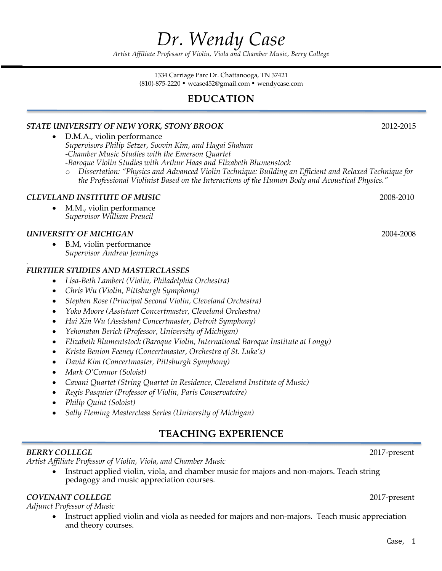# *Dr. Wendy Case*

*Artist Affiliate Professor of Violin, Viola and Chamber Music, Berry College*

1334 Carriage Parc Dr. Chattanooga, TN 37421 (810)-875-2220 wcase452@gmail.com wendycase.com

# **EDUCATION**

#### *STATE UNIVERSITY OF NEW YORK, STONY BROOK* 2012-2015

- D.M.A., violin performance *Supervisors Philip Setzer, Soovin Kim, and Hagai Shaham -Chamber Music Studies with the Emerson Quartet -Baroque Violin Studies with Arthur Haas and Elizabeth Blumenstock*
	- o *Dissertation: "Physics and Advanced Violin Technique: Building an Efficient and Relaxed Technique for the Professional Violinist Based on the Interactions of the Human Body and Acoustical Physics."*

#### *CLEVELAND INSTITUTE OF MUSIC* 2008-2010

• M.M., violin performance *Supervisor William Preucil*

#### *UNIVERSITY OF MICHIGAN* 2004-2008

*.*

• B.M, violin performance *Supervisor Andrew Jennings*

#### *FURTHER STUDIES AND MASTERCLASSES*

- *Lisa-Beth Lambert (Violin, Philadelphia Orchestra)*
- *Chris Wu (Violin, Pittsburgh Symphony)*
- *Stephen Rose (Principal Second Violin, Cleveland Orchestra)*
- *Yoko Moore (Assistant Concertmaster, Cleveland Orchestra)*
- *Hai Xin Wu (Assistant Concertmaster, Detroit Symphony)*
- *Yehonatan Berick (Professor, University of Michigan)*
- *Elizabeth Blumentstock (Baroque Violin, International Baroque Institute at Longy)*
- *Krista Benion Feeney (Concertmaster, Orchestra of St. Luke's)*
- *David Kim (Concertmaster, Pittsburgh Symphony)*
- *Mark O'Connor (Soloist)*
- *Cavani Quartet (String Quartet in Residence, Cleveland Institute of Music)*
- *Regis Pasquier (Professor of Violin, Paris Conservatoire)*
- *Philip Quint (Soloist)*
- *Sally Fleming Masterclass Series (University of Michigan)*

## **TEACHING EXPERIENCE**

#### *BERRY COLLEGE* 2017-present

*Artist Affiliate Professor of Violin, Viola, and Chamber Music*

• Instruct applied violin, viola, and chamber music for majors and non-majors. Teach string pedagogy and music appreciation courses.

#### *COVENANT COLLEGE* 2017-present

*Adjunct Professor of Music*

Instruct applied violin and viola as needed for majors and non-majors. Teach music appreciation and theory courses.

Case, 1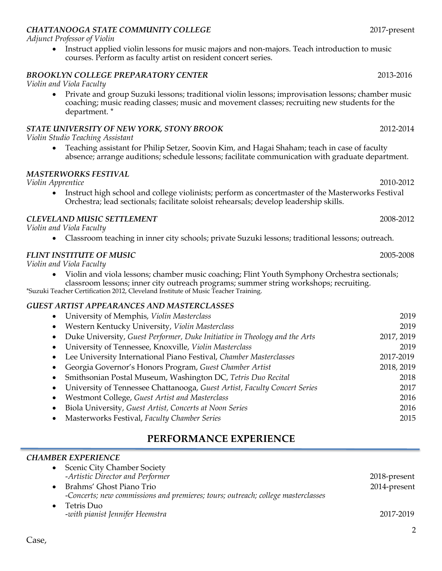# *CHATTANOOGA STATE COMMUNITY COLLEGE* 2017-present

*Adjunct Professor of Violin*

• Instruct applied violin lessons for music majors and non-majors. Teach introduction to music courses. Perform as faculty artist on resident concert series.

## *BROOKLYN COLLEGE PREPARATORY CENTER* 2013-2016

#### *Violin and Viola Faculty*

• Private and group Suzuki lessons; traditional violin lessons; improvisation lessons; chamber music coaching; music reading classes; music and movement classes; recruiting new students for the department. \*

#### *STATE UNIVERSITY OF NEW YORK, STONY BROOK* 2012-2014

*Violin Studio Teaching Assistant*

• Teaching assistant for Philip Setzer, Soovin Kim, and Hagai Shaham; teach in case of faculty absence; arrange auditions; schedule lessons; facilitate communication with graduate department.

#### *MASTERWORKS FESTIVAL*

*Violin Apprentice* 2010-2012

• Instruct high school and college violinists; perform as concertmaster of the Masterworks Festival Orchestra; lead sectionals; facilitate soloist rehearsals; develop leadership skills.

#### *CLEVELAND MUSIC SETTLEMENT* 2008-2012

*Violin and Viola Faculty*

• Classroom teaching in inner city schools; private Suzuki lessons; traditional lessons; outreach.

## *FLINT INSTITUTE OF MUSIC* 2005-2008

*Violin and Viola Faculty*

• Violin and viola lessons; chamber music coaching; Flint Youth Symphony Orchestra sectionals; classroom lessons; inner city outreach programs; summer string workshops; recruiting.

\*Suzuki Teacher Certification 2012, Cleveland Institute of Music Teacher Training.

# *GUEST ARTIST APPEARANCES AND MASTERCLASSES*

| Western Kentucky University, Violin Masterclass<br>$\bullet$                                 | 2019<br>2017, 2019<br>2019 |
|----------------------------------------------------------------------------------------------|----------------------------|
|                                                                                              |                            |
| Duke University, Guest Performer, Duke Initiative in Theology and the Arts<br>$\bullet$      |                            |
| University of Tennessee, Knoxville, Violin Masterclass<br>$\bullet$                          |                            |
| Lee University International Piano Festival, Chamber Masterclasses<br>2017-2019<br>$\bullet$ |                            |
| 2018, 2019<br>Georgia Governor's Honors Program, Guest Chamber Artist<br>$\bullet$           |                            |
| Smithsonian Postal Museum, Washington DC, Tetris Duo Recital<br>$\bullet$                    | 2018                       |
| University of Tennessee Chattanooga, Guest Artist, Faculty Concert Series<br>$\bullet$       | 2017                       |
| Westmont College, Guest Artist and Masterclass<br>$\bullet$                                  | 2016                       |
| Biola University, Guest Artist, Concerts at Noon Series<br>$\bullet$                         | 2016                       |
| Masterworks Festival, Faculty Chamber Series<br>$\bullet$                                    | 2015                       |

# **PERFORMANCE EXPERIENCE**

# *CHAMBER EXPERIENCE*

| <b>Scenic City Chamber Society</b>                                               |              |
|----------------------------------------------------------------------------------|--------------|
| -Artistic Director and Performer                                                 | 2018-present |
| Brahms' Ghost Piano Trio                                                         | 2014-present |
| -Concerts; new commissions and premieres; tours; outreach; college masterclasses |              |
| Tetris Duo                                                                       |              |
| -with pianist Jennifer Heemstra                                                  | 2017-2019    |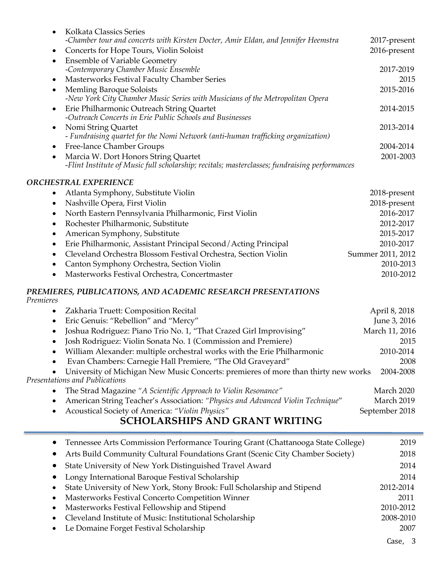| Kolkata Classics Series<br>$\bullet$                                                          |              |
|-----------------------------------------------------------------------------------------------|--------------|
| -Chamber tour and concerts with Kirsten Docter, Amir Eldan, and Jennifer Heemstra             | 2017-present |
| Concerts for Hope Tours, Violin Soloist<br>$\bullet$                                          | 2016-present |
| <b>Ensemble of Variable Geometry</b><br>$\bullet$<br>-Contemporary Chamber Music Ensemble     | 2017-2019    |
|                                                                                               |              |
| Masterworks Festival Faculty Chamber Series<br>$\bullet$                                      | 2015         |
| <b>Memling Baroque Soloists</b><br>$\bullet$                                                  | 2015-2016    |
| -New York City Chamber Music Series with Musicians of the Metropolitan Opera                  |              |
| Erie Philharmonic Outreach String Quartet<br>$\bullet$                                        | 2014-2015    |
| -Outreach Concerts in Erie Public Schools and Businesses                                      |              |
| Nomi String Quartet<br>$\bullet$                                                              | 2013-2014    |
| - Fundraising quartet for the Nomi Network (anti-human trafficking organization)              |              |
| Free-lance Chamber Groups<br>$\bullet$                                                        | 2004-2014    |
| Marcia W. Dort Honors String Quartet<br>$\bullet$                                             | 2001-2003    |
| -Flint Institute of Music full scholarship; recitals; masterclasses; fundraising performances |              |
| <b>ORCHESTRAL EXPERIENCE</b>                                                                  |              |
| Atlanta Symphony, Substitute Violin<br>٠                                                      | 2018-present |
| Nashville Opera, First Violin<br>$\bullet$                                                    | 2018-present |
|                                                                                               |              |
| North Eastern Pennsylvania Philharmonic, First Violin                                         | 2016-2017    |

- Rochester Philharmonic, Substitute 2012-2017 • American Symphony, Substitute 2015-2017 • Erie Philharmonic, Assistant Principal Second / Acting Principal 2010-2017 • Cleveland Orchestra Blossom Festival Orchestra, Section Violin Summer 2011, 2012
- Canton Symphony Orchestra, Section Violin 2010-2013
	- Masterworks Festival Orchestra, Concertmaster 2010-2012

#### *PREMIERES, PUBLICATIONS, AND ACADEMIC RESEARCH PRESENTATIONS Premieres*

• Zakharia Truett: Composition Recital **April 8, 2018** April 8, 2018 • Eric Genuis: "Rebellion" and "Mercy" June 3, 2016 Joshua Rodriguez: Piano Trio No. 1, "That Crazed Girl Improvising" March 11, 2016 • Josh Rodriguez: Violin Sonata No. 1 (Commission and Premiere) 2015 • William Alexander: multiple orchestral works with the Erie Philharmonic 2010-2014 • Evan Chambers: Carnegie Hall Premiere, "The Old Graveyard" 2008 • University of Michigan New Music Concerts: premieres of more than thirty new works 2004-2008 *Presentations and Publications* • The Strad Magazine "A Scientific Approach to Violin Resonance" and March 2020 • American String Teacher's Association: "Physics and Advanced Violin Technique" March 2019 • Acoustical Society of America: *"Violin Physics"* September 2018

# **SCHOLARSHIPS AND GRANT WRITING**

| • Tennessee Arts Commission Performance Touring Grant (Chattanooga State College) | 2019      |
|-----------------------------------------------------------------------------------|-----------|
| Arts Build Community Cultural Foundations Grant (Scenic City Chamber Society)     | 2018      |
| State University of New York Distinguished Travel Award                           | 2014      |
| Longy International Baroque Festival Scholarship                                  | 2014      |
| State University of New York, Stony Brook: Full Scholarship and Stipend           | 2012-2014 |
| Masterworks Festival Concerto Competition Winner                                  | 2011      |
| Masterworks Festival Fellowship and Stipend                                       | 2010-2012 |
| Cleveland Institute of Music: Institutional Scholarship                           | 2008-2010 |
| Le Domaine Forget Festival Scholarship                                            | 2007      |
|                                                                                   | Case.     |